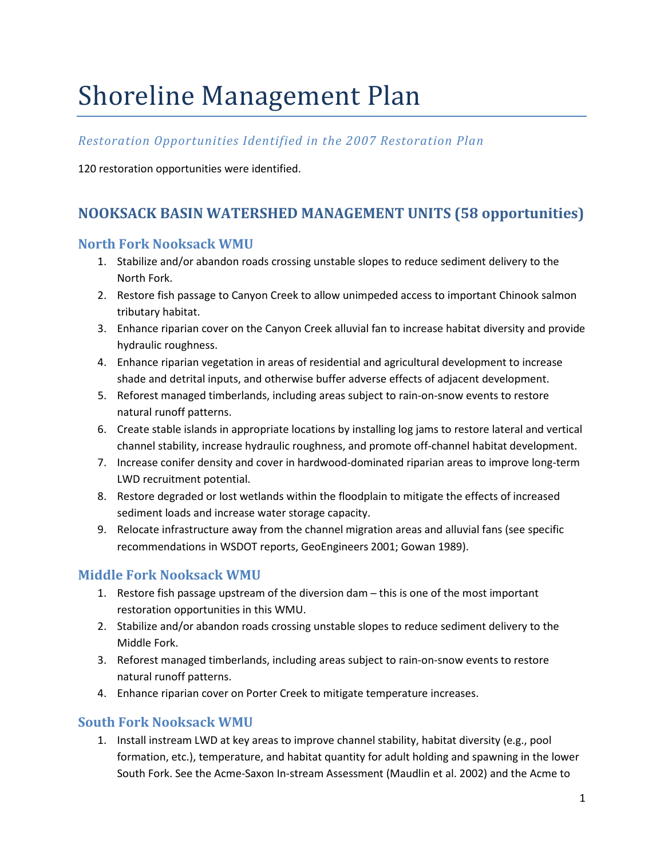# Shoreline Management Plan

## *Restoration Opportunities Identified in the 2007 Restoration Plan*

120 restoration opportunities were identified.

# **NOOKSACK BASIN WATERSHED MANAGEMENT UNITS (58 opportunities)**

#### **North Fork Nooksack WMU**

- 1. Stabilize and/or abandon roads crossing unstable slopes to reduce sediment delivery to the North Fork.
- 2. Restore fish passage to Canyon Creek to allow unimpeded access to important Chinook salmon tributary habitat.
- 3. Enhance riparian cover on the Canyon Creek alluvial fan to increase habitat diversity and provide hydraulic roughness.
- 4. Enhance riparian vegetation in areas of residential and agricultural development to increase shade and detrital inputs, and otherwise buffer adverse effects of adjacent development.
- 5. Reforest managed timberlands, including areas subject to rain-on-snow events to restore natural runoff patterns.
- 6. Create stable islands in appropriate locations by installing log jams to restore lateral and vertical channel stability, increase hydraulic roughness, and promote off-channel habitat development.
- 7. Increase conifer density and cover in hardwood-dominated riparian areas to improve long-term LWD recruitment potential.
- 8. Restore degraded or lost wetlands within the floodplain to mitigate the effects of increased sediment loads and increase water storage capacity.
- 9. Relocate infrastructure away from the channel migration areas and alluvial fans (see specific recommendations in WSDOT reports, GeoEngineers 2001; Gowan 1989).

## **Middle Fork Nooksack WMU**

- 1. Restore fish passage upstream of the diversion dam this is one of the most important restoration opportunities in this WMU.
- 2. Stabilize and/or abandon roads crossing unstable slopes to reduce sediment delivery to the Middle Fork.
- 3. Reforest managed timberlands, including areas subject to rain-on-snow events to restore natural runoff patterns.
- 4. Enhance riparian cover on Porter Creek to mitigate temperature increases.

## **South Fork Nooksack WMU**

1. Install instream LWD at key areas to improve channel stability, habitat diversity (e.g., pool formation, etc.), temperature, and habitat quantity for adult holding and spawning in the lower South Fork. See the Acme-Saxon In-stream Assessment (Maudlin et al. 2002) and the Acme to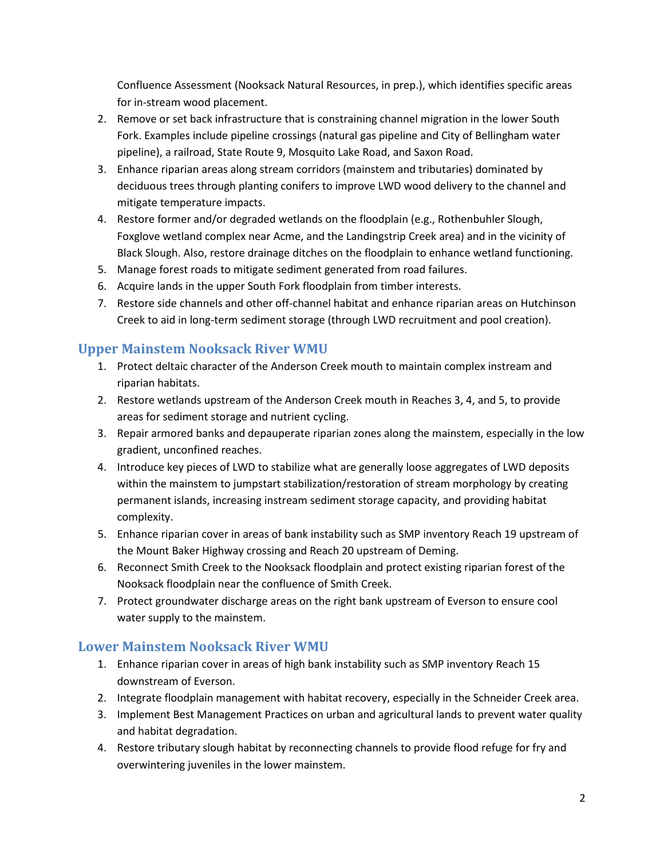Confluence Assessment (Nooksack Natural Resources, in prep.), which identifies specific areas for in-stream wood placement.

- 2. Remove or set back infrastructure that is constraining channel migration in the lower South Fork. Examples include pipeline crossings (natural gas pipeline and City of Bellingham water pipeline), a railroad, State Route 9, Mosquito Lake Road, and Saxon Road.
- 3. Enhance riparian areas along stream corridors (mainstem and tributaries) dominated by deciduous trees through planting conifers to improve LWD wood delivery to the channel and mitigate temperature impacts.
- 4. Restore former and/or degraded wetlands on the floodplain (e.g., Rothenbuhler Slough, Foxglove wetland complex near Acme, and the Landingstrip Creek area) and in the vicinity of Black Slough. Also, restore drainage ditches on the floodplain to enhance wetland functioning.
- 5. Manage forest roads to mitigate sediment generated from road failures.
- 6. Acquire lands in the upper South Fork floodplain from timber interests.
- 7. Restore side channels and other off-channel habitat and enhance riparian areas on Hutchinson Creek to aid in long-term sediment storage (through LWD recruitment and pool creation).

## **Upper Mainstem Nooksack River WMU**

- 1. Protect deltaic character of the Anderson Creek mouth to maintain complex instream and riparian habitats.
- 2. Restore wetlands upstream of the Anderson Creek mouth in Reaches 3, 4, and 5, to provide areas for sediment storage and nutrient cycling.
- 3. Repair armored banks and depauperate riparian zones along the mainstem, especially in the low gradient, unconfined reaches.
- 4. Introduce key pieces of LWD to stabilize what are generally loose aggregates of LWD deposits within the mainstem to jumpstart stabilization/restoration of stream morphology by creating permanent islands, increasing instream sediment storage capacity, and providing habitat complexity.
- 5. Enhance riparian cover in areas of bank instability such as SMP inventory Reach 19 upstream of the Mount Baker Highway crossing and Reach 20 upstream of Deming.
- 6. Reconnect Smith Creek to the Nooksack floodplain and protect existing riparian forest of the Nooksack floodplain near the confluence of Smith Creek.
- 7. Protect groundwater discharge areas on the right bank upstream of Everson to ensure cool water supply to the mainstem.

## **Lower Mainstem Nooksack River WMU**

- 1. Enhance riparian cover in areas of high bank instability such as SMP inventory Reach 15 downstream of Everson.
- 2. Integrate floodplain management with habitat recovery, especially in the Schneider Creek area.
- 3. Implement Best Management Practices on urban and agricultural lands to prevent water quality and habitat degradation.
- 4. Restore tributary slough habitat by reconnecting channels to provide flood refuge for fry and overwintering juveniles in the lower mainstem.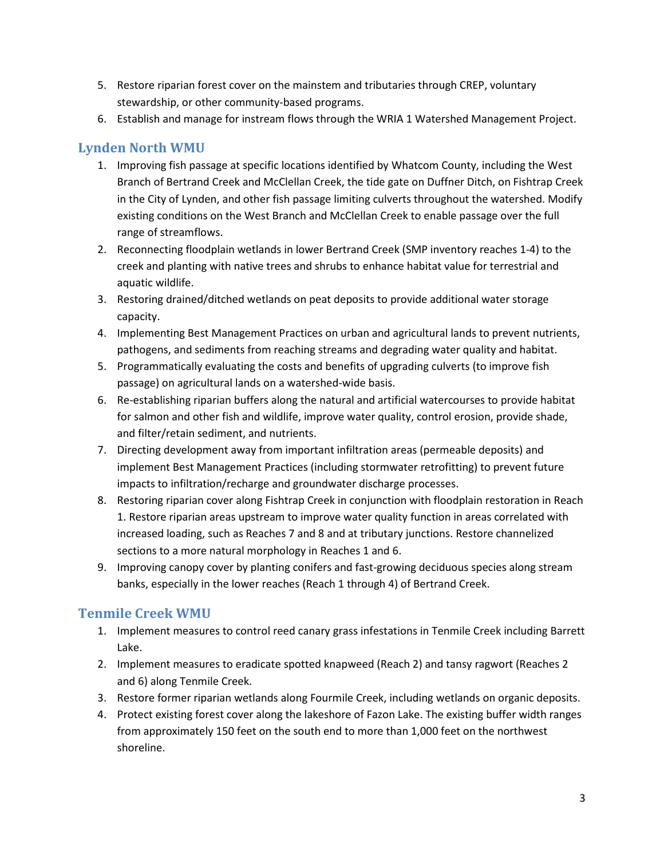- 5. Restore riparian forest cover on the mainstem and tributaries through CREP, voluntary stewardship, or other community-based programs.
- 6. Establish and manage for instream flows through the WRIA 1 Watershed Management Project.

## **Lynden North WMU**

- 1. Improving fish passage at specific locations identified by Whatcom County, including the West Branch of Bertrand Creek and McClellan Creek, the tide gate on Duffner Ditch, on Fishtrap Creek in the City of Lynden, and other fish passage limiting culverts throughout the watershed. Modify existing conditions on the West Branch and McClellan Creek to enable passage over the full range of streamflows.
- 2. Reconnecting floodplain wetlands in lower Bertrand Creek (SMP inventory reaches 1-4) to the creek and planting with native trees and shrubs to enhance habitat value for terrestrial and aquatic wildlife.
- 3. Restoring drained/ditched wetlands on peat deposits to provide additional water storage capacity.
- 4. Implementing Best Management Practices on urban and agricultural lands to prevent nutrients, pathogens, and sediments from reaching streams and degrading water quality and habitat.
- 5. Programmatically evaluating the costs and benefits of upgrading culverts (to improve fish passage) on agricultural lands on a watershed-wide basis.
- 6. Re-establishing riparian buffers along the natural and artificial watercourses to provide habitat for salmon and other fish and wildlife, improve water quality, control erosion, provide shade, and filter/retain sediment, and nutrients.
- 7. Directing development away from important infiltration areas (permeable deposits) and implement Best Management Practices (including stormwater retrofitting) to prevent future impacts to infiltration/recharge and groundwater discharge processes.
- 8. Restoring riparian cover along Fishtrap Creek in conjunction with floodplain restoration in Reach 1. Restore riparian areas upstream to improve water quality function in areas correlated with increased loading, such as Reaches 7 and 8 and at tributary junctions. Restore channelized sections to a more natural morphology in Reaches 1 and 6.
- 9. Improving canopy cover by planting conifers and fast-growing deciduous species along stream banks, especially in the lower reaches (Reach 1 through 4) of Bertrand Creek.

## **Tenmile Creek WMU**

- 1. Implement measures to control reed canary grass infestations in Tenmile Creek including Barrett Lake.
- 2. Implement measures to eradicate spotted knapweed (Reach 2) and tansy ragwort (Reaches 2 and 6) along Tenmile Creek.
- 3. Restore former riparian wetlands along Fourmile Creek, including wetlands on organic deposits.
- 4. Protect existing forest cover along the lakeshore of Fazon Lake. The existing buffer width ranges from approximately 150 feet on the south end to more than 1,000 feet on the northwest shoreline.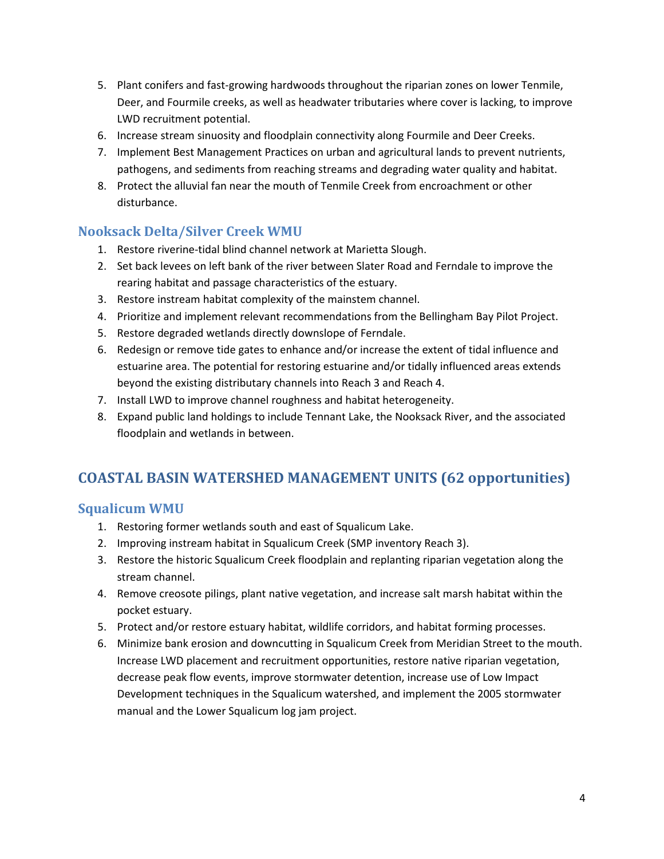- 5. Plant conifers and fast-growing hardwoods throughout the riparian zones on lower Tenmile, Deer, and Fourmile creeks, as well as headwater tributaries where cover is lacking, to improve LWD recruitment potential.
- 6. Increase stream sinuosity and floodplain connectivity along Fourmile and Deer Creeks.
- 7. Implement Best Management Practices on urban and agricultural lands to prevent nutrients, pathogens, and sediments from reaching streams and degrading water quality and habitat.
- 8. Protect the alluvial fan near the mouth of Tenmile Creek from encroachment or other disturbance.

## **Nooksack Delta/Silver Creek WMU**

- 1. Restore riverine-tidal blind channel network at Marietta Slough.
- 2. Set back levees on left bank of the river between Slater Road and Ferndale to improve the rearing habitat and passage characteristics of the estuary.
- 3. Restore instream habitat complexity of the mainstem channel.
- 4. Prioritize and implement relevant recommendations from the Bellingham Bay Pilot Project.
- 5. Restore degraded wetlands directly downslope of Ferndale.
- 6. Redesign or remove tide gates to enhance and/or increase the extent of tidal influence and estuarine area. The potential for restoring estuarine and/or tidally influenced areas extends beyond the existing distributary channels into Reach 3 and Reach 4.
- 7. Install LWD to improve channel roughness and habitat heterogeneity.
- 8. Expand public land holdings to include Tennant Lake, the Nooksack River, and the associated floodplain and wetlands in between.

# **COASTAL BASIN WATERSHED MANAGEMENT UNITS (62 opportunities)**

## **Squalicum WMU**

- 1. Restoring former wetlands south and east of Squalicum Lake.
- 2. Improving instream habitat in Squalicum Creek (SMP inventory Reach 3).
- 3. Restore the historic Squalicum Creek floodplain and replanting riparian vegetation along the stream channel.
- 4. Remove creosote pilings, plant native vegetation, and increase salt marsh habitat within the pocket estuary.
- 5. Protect and/or restore estuary habitat, wildlife corridors, and habitat forming processes.
- 6. Minimize bank erosion and downcutting in Squalicum Creek from Meridian Street to the mouth. Increase LWD placement and recruitment opportunities, restore native riparian vegetation, decrease peak flow events, improve stormwater detention, increase use of Low Impact Development techniques in the Squalicum watershed, and implement the 2005 stormwater manual and the Lower Squalicum log jam project.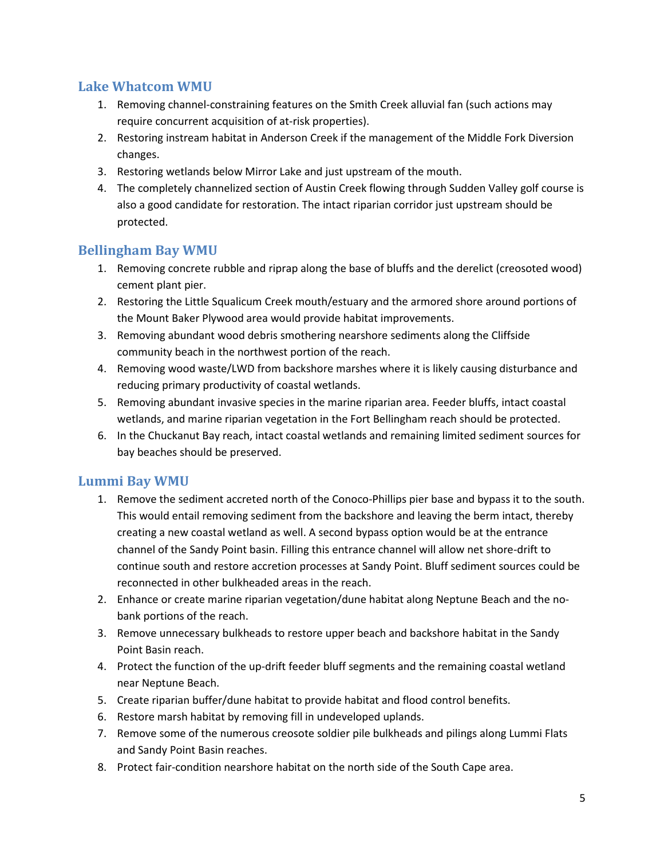## **Lake Whatcom WMU**

- 1. Removing channel-constraining features on the Smith Creek alluvial fan (such actions may require concurrent acquisition of at-risk properties).
- 2. Restoring instream habitat in Anderson Creek if the management of the Middle Fork Diversion changes.
- 3. Restoring wetlands below Mirror Lake and just upstream of the mouth.
- 4. The completely channelized section of Austin Creek flowing through Sudden Valley golf course is also a good candidate for restoration. The intact riparian corridor just upstream should be protected.

## **Bellingham Bay WMU**

- 1. Removing concrete rubble and riprap along the base of bluffs and the derelict (creosoted wood) cement plant pier.
- 2. Restoring the Little Squalicum Creek mouth/estuary and the armored shore around portions of the Mount Baker Plywood area would provide habitat improvements.
- 3. Removing abundant wood debris smothering nearshore sediments along the Cliffside community beach in the northwest portion of the reach.
- 4. Removing wood waste/LWD from backshore marshes where it is likely causing disturbance and reducing primary productivity of coastal wetlands.
- 5. Removing abundant invasive species in the marine riparian area. Feeder bluffs, intact coastal wetlands, and marine riparian vegetation in the Fort Bellingham reach should be protected.
- 6. In the Chuckanut Bay reach, intact coastal wetlands and remaining limited sediment sources for bay beaches should be preserved.

## **Lummi Bay WMU**

- 1. Remove the sediment accreted north of the Conoco-Phillips pier base and bypass it to the south. This would entail removing sediment from the backshore and leaving the berm intact, thereby creating a new coastal wetland as well. A second bypass option would be at the entrance channel of the Sandy Point basin. Filling this entrance channel will allow net shore-drift to continue south and restore accretion processes at Sandy Point. Bluff sediment sources could be reconnected in other bulkheaded areas in the reach.
- 2. Enhance or create marine riparian vegetation/dune habitat along Neptune Beach and the nobank portions of the reach.
- 3. Remove unnecessary bulkheads to restore upper beach and backshore habitat in the Sandy Point Basin reach.
- 4. Protect the function of the up-drift feeder bluff segments and the remaining coastal wetland near Neptune Beach.
- 5. Create riparian buffer/dune habitat to provide habitat and flood control benefits.
- 6. Restore marsh habitat by removing fill in undeveloped uplands.
- 7. Remove some of the numerous creosote soldier pile bulkheads and pilings along Lummi Flats and Sandy Point Basin reaches.
- 8. Protect fair-condition nearshore habitat on the north side of the South Cape area.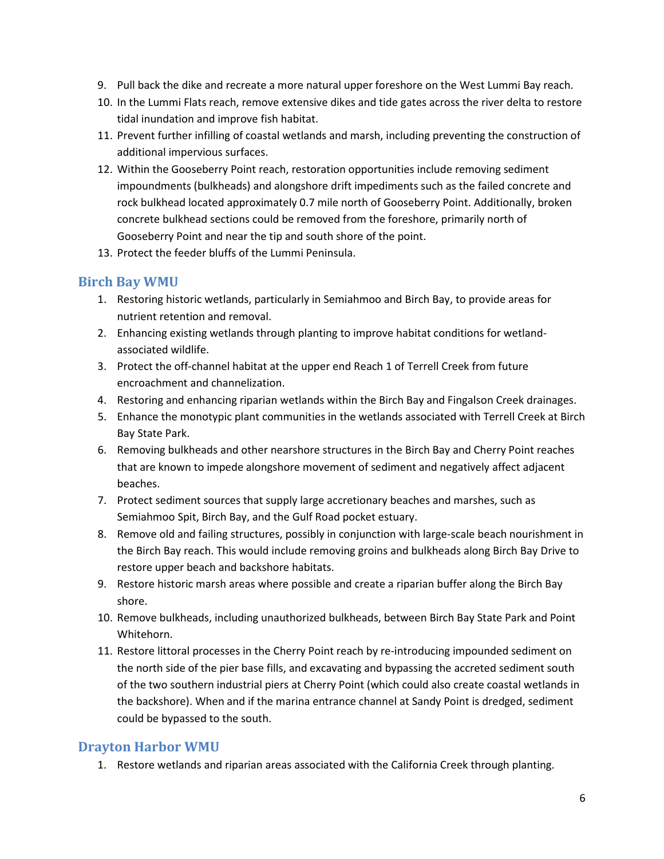- 9. Pull back the dike and recreate a more natural upper foreshore on the West Lummi Bay reach.
- 10. In the Lummi Flats reach, remove extensive dikes and tide gates across the river delta to restore tidal inundation and improve fish habitat.
- 11. Prevent further infilling of coastal wetlands and marsh, including preventing the construction of additional impervious surfaces.
- 12. Within the Gooseberry Point reach, restoration opportunities include removing sediment impoundments (bulkheads) and alongshore drift impediments such as the failed concrete and rock bulkhead located approximately 0.7 mile north of Gooseberry Point. Additionally, broken concrete bulkhead sections could be removed from the foreshore, primarily north of Gooseberry Point and near the tip and south shore of the point.
- 13. Protect the feeder bluffs of the Lummi Peninsula.

#### **Birch Bay WMU**

- 1. Restoring historic wetlands, particularly in Semiahmoo and Birch Bay, to provide areas for nutrient retention and removal.
- 2. Enhancing existing wetlands through planting to improve habitat conditions for wetlandassociated wildlife.
- 3. Protect the off-channel habitat at the upper end Reach 1 of Terrell Creek from future encroachment and channelization.
- 4. Restoring and enhancing riparian wetlands within the Birch Bay and Fingalson Creek drainages.
- 5. Enhance the monotypic plant communities in the wetlands associated with Terrell Creek at Birch Bay State Park.
- 6. Removing bulkheads and other nearshore structures in the Birch Bay and Cherry Point reaches that are known to impede alongshore movement of sediment and negatively affect adjacent beaches.
- 7. Protect sediment sources that supply large accretionary beaches and marshes, such as Semiahmoo Spit, Birch Bay, and the Gulf Road pocket estuary.
- 8. Remove old and failing structures, possibly in conjunction with large-scale beach nourishment in the Birch Bay reach. This would include removing groins and bulkheads along Birch Bay Drive to restore upper beach and backshore habitats.
- 9. Restore historic marsh areas where possible and create a riparian buffer along the Birch Bay shore.
- 10. Remove bulkheads, including unauthorized bulkheads, between Birch Bay State Park and Point Whitehorn.
- 11. Restore littoral processes in the Cherry Point reach by re-introducing impounded sediment on the north side of the pier base fills, and excavating and bypassing the accreted sediment south of the two southern industrial piers at Cherry Point (which could also create coastal wetlands in the backshore). When and if the marina entrance channel at Sandy Point is dredged, sediment could be bypassed to the south.

## **Drayton Harbor WMU**

1. Restore wetlands and riparian areas associated with the California Creek through planting.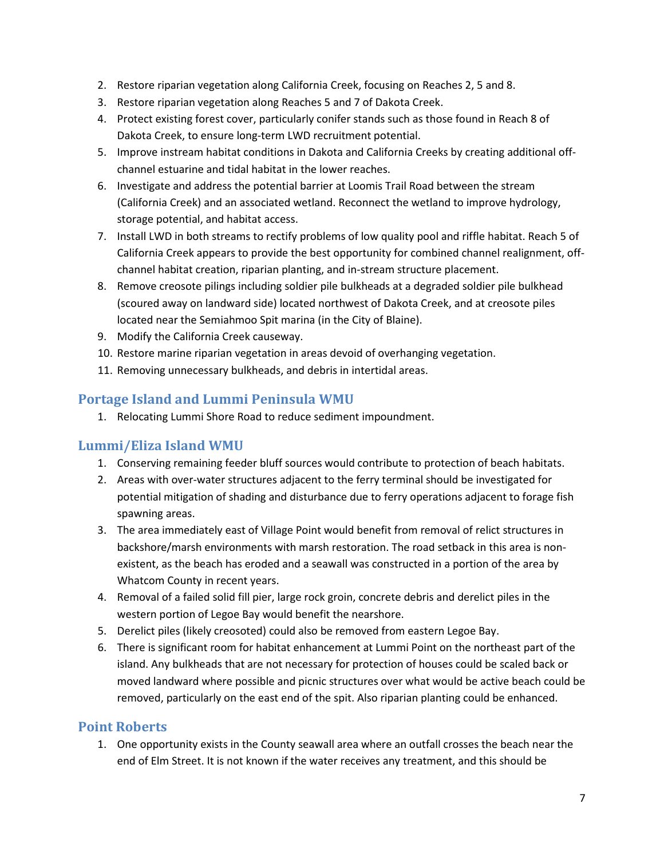- 2. Restore riparian vegetation along California Creek, focusing on Reaches 2, 5 and 8.
- 3. Restore riparian vegetation along Reaches 5 and 7 of Dakota Creek.
- 4. Protect existing forest cover, particularly conifer stands such as those found in Reach 8 of Dakota Creek, to ensure long-term LWD recruitment potential.
- 5. Improve instream habitat conditions in Dakota and California Creeks by creating additional offchannel estuarine and tidal habitat in the lower reaches.
- 6. Investigate and address the potential barrier at Loomis Trail Road between the stream (California Creek) and an associated wetland. Reconnect the wetland to improve hydrology, storage potential, and habitat access.
- 7. Install LWD in both streams to rectify problems of low quality pool and riffle habitat. Reach 5 of California Creek appears to provide the best opportunity for combined channel realignment, offchannel habitat creation, riparian planting, and in-stream structure placement.
- 8. Remove creosote pilings including soldier pile bulkheads at a degraded soldier pile bulkhead (scoured away on landward side) located northwest of Dakota Creek, and at creosote piles located near the Semiahmoo Spit marina (in the City of Blaine).
- 9. Modify the California Creek causeway.
- 10. Restore marine riparian vegetation in areas devoid of overhanging vegetation.
- 11. Removing unnecessary bulkheads, and debris in intertidal areas.

## **Portage Island and Lummi Peninsula WMU**

1. Relocating Lummi Shore Road to reduce sediment impoundment.

## **Lummi/Eliza Island WMU**

- 1. Conserving remaining feeder bluff sources would contribute to protection of beach habitats.
- 2. Areas with over-water structures adjacent to the ferry terminal should be investigated for potential mitigation of shading and disturbance due to ferry operations adjacent to forage fish spawning areas.
- 3. The area immediately east of Village Point would benefit from removal of relict structures in backshore/marsh environments with marsh restoration. The road setback in this area is nonexistent, as the beach has eroded and a seawall was constructed in a portion of the area by Whatcom County in recent years.
- 4. Removal of a failed solid fill pier, large rock groin, concrete debris and derelict piles in the western portion of Legoe Bay would benefit the nearshore.
- 5. Derelict piles (likely creosoted) could also be removed from eastern Legoe Bay.
- 6. There is significant room for habitat enhancement at Lummi Point on the northeast part of the island. Any bulkheads that are not necessary for protection of houses could be scaled back or moved landward where possible and picnic structures over what would be active beach could be removed, particularly on the east end of the spit. Also riparian planting could be enhanced.

## **Point Roberts**

1. One opportunity exists in the County seawall area where an outfall crosses the beach near the end of Elm Street. It is not known if the water receives any treatment, and this should be